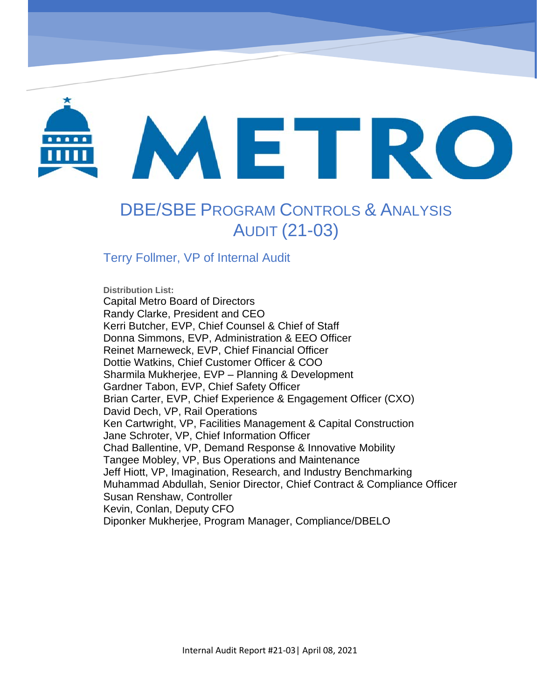

# METRO

# DBE/SBE PROGRAM CONTROLS & ANALYSIS AUDIT (21-03)

OrbCAD Service Delays Process Review (20-06)

# Terry Follmer, VP of Internal Audit

**Distribution List:**  Capital Metro Board of Directors Randy Clarke, President and CEO Kerri Butcher, EVP, Chief Counsel & Chief of Staff Donna Simmons, EVP, Administration & EEO Officer Reinet Marneweck, EVP, Chief Financial Officer Dottie Watkins, Chief Customer Officer & COO Sharmila Mukherjee, EVP – Planning & Development Gardner Tabon, EVP, Chief Safety Officer Brian Carter, EVP, Chief Experience & Engagement Officer (CXO) David Dech, VP, Rail Operations Ken Cartwright, VP, Facilities Management & Capital Construction Jane Schroter, VP, Chief Information Officer Chad Ballentine, VP, Demand Response & Innovative Mobility Tangee Mobley, VP, Bus Operations and Maintenance Jeff Hiott, VP, Imagination, Research, and Industry Benchmarking Muhammad Abdullah, Senior Director, Chief Contract & Compliance Officer Susan Renshaw, Controller Kevin, Conlan, Deputy CFO Diponker Mukherjee, Program Manager, Compliance/DBELO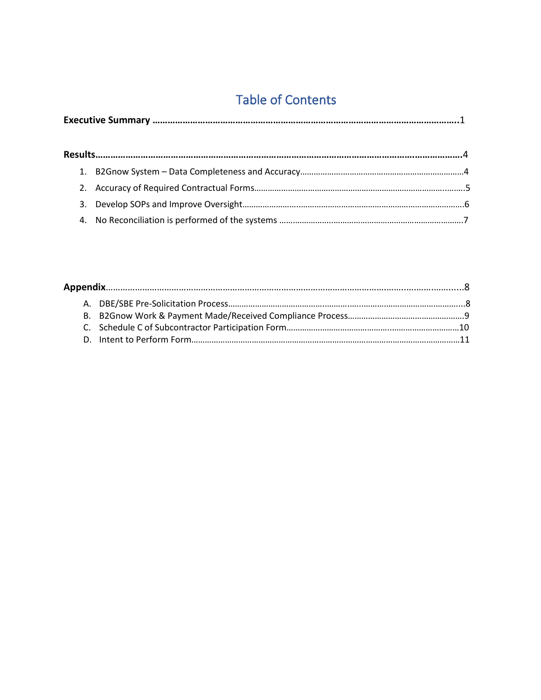# Table of Contents

|--|--|--|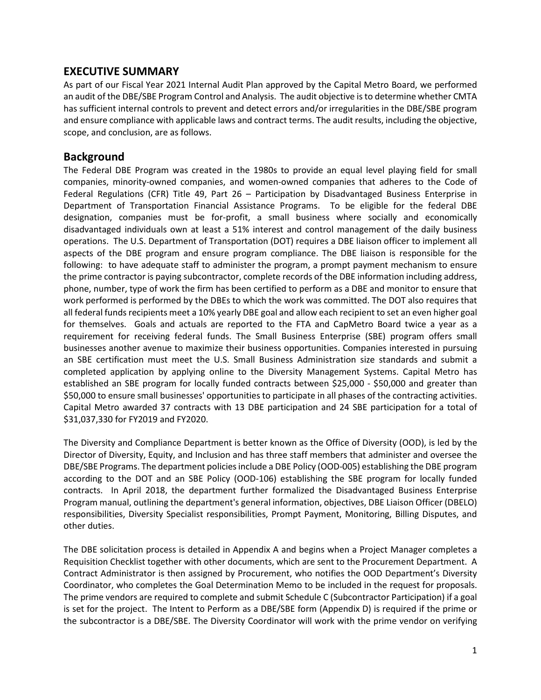## **EXECUTIVE SUMMARY**

As part of our Fiscal Year 2021 Internal Audit Plan approved by the Capital Metro Board, we performed an audit of the DBE/SBE Program Control and Analysis. The audit objective isto determine whether CMTA has sufficient internal controls to prevent and detect errors and/or irregularities in the DBE/SBE program and ensure compliance with applicable laws and contract terms. The audit results, including the objective, scope, and conclusion, are as follows.

## **Background**

The Federal DBE Program was created in the 1980s to provide an equal level playing field for small companies, minority-owned companies, and women-owned companies that adheres to the Code of Federal Regulations (CFR) Title 49, Part 26 – Participation by Disadvantaged Business Enterprise in Department of Transportation Financial Assistance Programs. To be eligible for the federal DBE designation, companies must be for-profit, a small business where socially and economically disadvantaged individuals own at least a 51% interest and control management of the daily business operations. The U.S. Department of Transportation (DOT) requires a DBE liaison officer to implement all aspects of the DBE program and ensure program compliance. The DBE liaison is responsible for the following: to have adequate staff to administer the program, a prompt payment mechanism to ensure the prime contractor is paying subcontractor, complete records of the DBE information including address, phone, number, type of work the firm has been certified to perform as a DBE and monitor to ensure that work performed is performed by the DBEs to which the work was committed. The DOT also requires that all federal funds recipients meet a 10% yearly DBE goal and allow each recipient to set an even higher goal for themselves. Goals and actuals are reported to the FTA and CapMetro Board twice a year as a requirement for receiving federal funds. The Small Business Enterprise (SBE) program offers small businesses another avenue to maximize their business opportunities. Companies interested in pursuing an SBE certification must meet the U.S. Small Business Administration size standards and submit a completed application by applying online to the Diversity Management Systems. Capital Metro has established an SBE program for locally funded contracts between \$25,000 - \$50,000 and greater than \$50,000 to ensure small businesses' opportunities to participate in all phases of the contracting activities. Capital Metro awarded 37 contracts with 13 DBE participation and 24 SBE participation for a total of \$31,037,330 for FY2019 and FY2020.

The Diversity and Compliance Department is better known as the Office of Diversity (OOD), is led by the Director of Diversity, Equity, and Inclusion and has three staff members that administer and oversee the DBE/SBE Programs. The department policies include a DBE Policy (OOD-005) establishing the DBE program according to the DOT and an SBE Policy (OOD-106) establishing the SBE program for locally funded contracts. In April 2018, the department further formalized the Disadvantaged Business Enterprise Program manual, outlining the department's general information, objectives, DBE Liaison Officer (DBELO) responsibilities, Diversity Specialist responsibilities, Prompt Payment, Monitoring, Billing Disputes, and other duties.

The DBE solicitation process is detailed in Appendix A and begins when a Project Manager completes a Requisition Checklist together with other documents, which are sent to the Procurement Department. A Contract Administrator is then assigned by Procurement, who notifies the OOD Department's Diversity Coordinator, who completes the Goal Determination Memo to be included in the request for proposals. The prime vendors are required to complete and submit Schedule C (Subcontractor Participation) if a goal is set for the project. The Intent to Perform as a DBE/SBE form (Appendix D) is required if the prime or the subcontractor is a DBE/SBE. The Diversity Coordinator will work with the prime vendor on verifying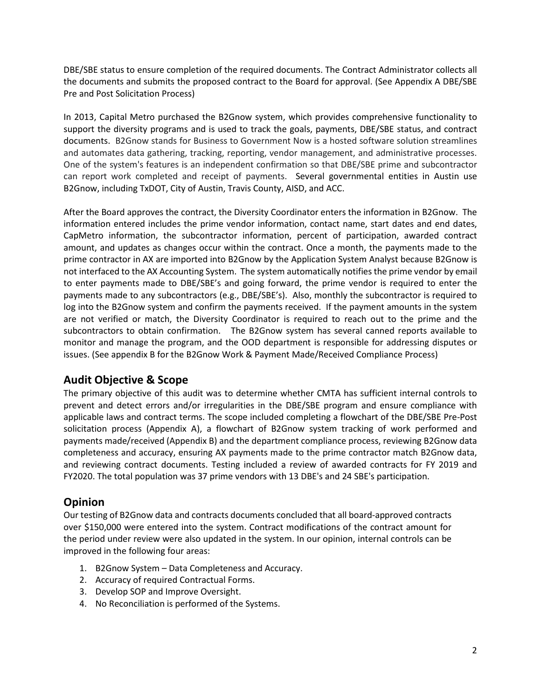DBE/SBE status to ensure completion of the required documents. The Contract Administrator collects all the documents and submits the proposed contract to the Board for approval. (See Appendix A DBE/SBE Pre and Post Solicitation Process)

In 2013, Capital Metro purchased the B2Gnow system, which provides comprehensive functionality to support the diversity programs and is used to track the goals, payments, DBE/SBE status, and contract documents. B2Gnow stands for Business to Government Now is a hosted software solution streamlines and automates data gathering, tracking, reporting, vendor management, and administrative processes. One of the system's features is an independent confirmation so that DBE/SBE prime and subcontractor can report work completed and receipt of payments. Several governmental entities in Austin use B2Gnow, including TxDOT, City of Austin, Travis County, AISD, and ACC.

After the Board approves the contract, the Diversity Coordinator enters the information in B2Gnow. The information entered includes the prime vendor information, contact name, start dates and end dates, CapMetro information, the subcontractor information, percent of participation, awarded contract amount, and updates as changes occur within the contract. Once a month, the payments made to the prime contractor in AX are imported into B2Gnow by the Application System Analyst because B2Gnow is not interfaced to the AX Accounting System. The system automatically notifies the prime vendor by email to enter payments made to DBE/SBE's and going forward, the prime vendor is required to enter the payments made to any subcontractors (e.g., DBE/SBE's). Also, monthly the subcontractor is required to log into the B2Gnow system and confirm the payments received. If the payment amounts in the system are not verified or match, the Diversity Coordinator is required to reach out to the prime and the subcontractors to obtain confirmation. The B2Gnow system has several canned reports available to monitor and manage the program, and the OOD department is responsible for addressing disputes or issues. (See appendix B for the B2Gnow Work & Payment Made/Received Compliance Process)

# **Audit Objective & Scope**

The primary objective of this audit was to determine whether CMTA has sufficient internal controls to prevent and detect errors and/or irregularities in the DBE/SBE program and ensure compliance with applicable laws and contract terms. The scope included completing a flowchart of the DBE/SBE Pre-Post solicitation process (Appendix A), a flowchart of B2Gnow system tracking of work performed and payments made/received (Appendix B) and the department compliance process, reviewing B2Gnow data completeness and accuracy, ensuring AX payments made to the prime contractor match B2Gnow data, and reviewing contract documents. Testing included a review of awarded contracts for FY 2019 and FY2020. The total population was 37 prime vendors with 13 DBE's and 24 SBE's participation.

# **Opinion**

Our testing of B2Gnow data and contracts documents concluded that all board-approved contracts over \$150,000 were entered into the system. Contract modifications of the contract amount for the period under review were also updated in the system. In our opinion, internal controls can be improved in the following four areas:

- 1. B2Gnow System Data Completeness and Accuracy.
- 2. Accuracy of required Contractual Forms.
- 3. Develop SOP and Improve Oversight.
- 4. No Reconciliation is performed of the Systems.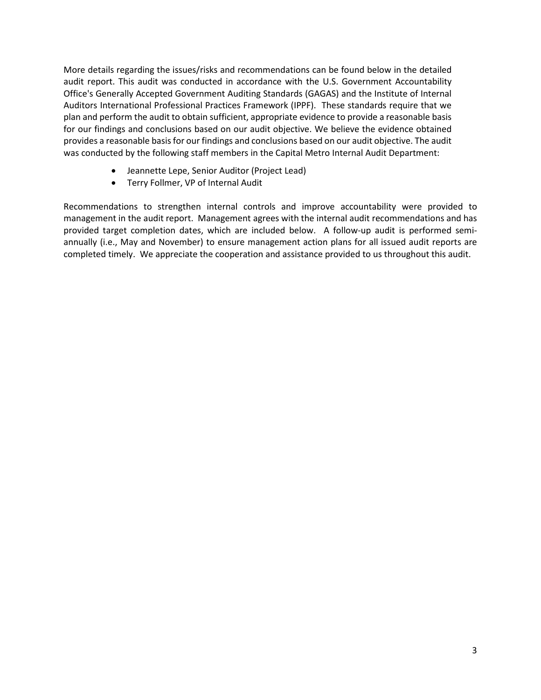More details regarding the issues/risks and recommendations can be found below in the detailed audit report. This audit was conducted in accordance with the U.S. Government Accountability Office's Generally Accepted Government Auditing Standards (GAGAS) and the Institute of Internal Auditors International Professional Practices Framework (IPPF). These standards require that we plan and perform the audit to obtain sufficient, appropriate evidence to provide a reasonable basis for our findings and conclusions based on our audit objective. We believe the evidence obtained provides a reasonable basis for our findings and conclusions based on our audit objective. The audit was conducted by the following staff members in the Capital Metro Internal Audit Department:

- Jeannette Lepe, Senior Auditor (Project Lead)
- Terry Follmer, VP of Internal Audit

Recommendations to strengthen internal controls and improve accountability were provided to management in the audit report. Management agrees with the internal audit recommendations and has provided target completion dates, which are included below. A follow-up audit is performed semiannually (i.e., May and November) to ensure management action plans for all issued audit reports are completed timely. We appreciate the cooperation and assistance provided to us throughout this audit.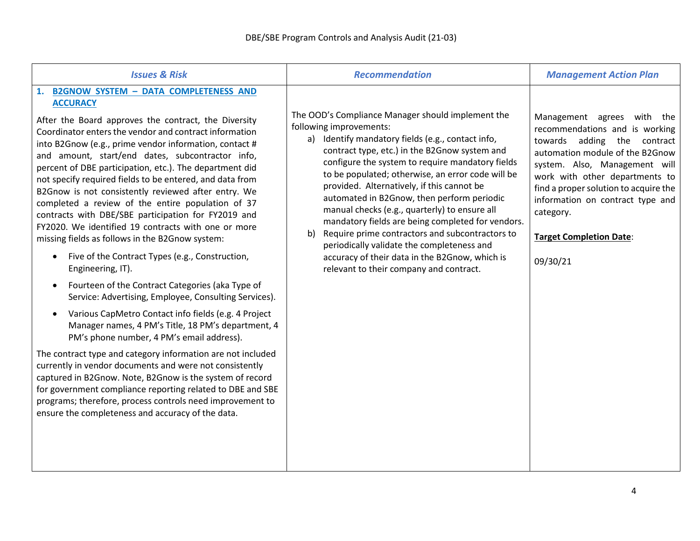| <b>Issues &amp; Risk</b>                                                                                                                                                                                                                                                                                                                                                                                                                                                                                                                                                                                                                                                                                                                                                                                                                                                                                                                                                                                                                                                                                                                                                                                                                                                                                                                                                                                                                     | <b>Recommendation</b>                                                                                                                                                                                                                                                                                                                                                                                                                                                                                                                                                                                                                                                                             | <b>Management Action Plan</b>                                                                                                                                                                                                                                                                                                             |
|----------------------------------------------------------------------------------------------------------------------------------------------------------------------------------------------------------------------------------------------------------------------------------------------------------------------------------------------------------------------------------------------------------------------------------------------------------------------------------------------------------------------------------------------------------------------------------------------------------------------------------------------------------------------------------------------------------------------------------------------------------------------------------------------------------------------------------------------------------------------------------------------------------------------------------------------------------------------------------------------------------------------------------------------------------------------------------------------------------------------------------------------------------------------------------------------------------------------------------------------------------------------------------------------------------------------------------------------------------------------------------------------------------------------------------------------|---------------------------------------------------------------------------------------------------------------------------------------------------------------------------------------------------------------------------------------------------------------------------------------------------------------------------------------------------------------------------------------------------------------------------------------------------------------------------------------------------------------------------------------------------------------------------------------------------------------------------------------------------------------------------------------------------|-------------------------------------------------------------------------------------------------------------------------------------------------------------------------------------------------------------------------------------------------------------------------------------------------------------------------------------------|
| <b>B2GNOW SYSTEM - DATA COMPLETENESS AND</b><br>1.<br><b>ACCURACY</b><br>After the Board approves the contract, the Diversity<br>Coordinator enters the vendor and contract information<br>into B2Gnow (e.g., prime vendor information, contact #<br>and amount, start/end dates, subcontractor info,<br>percent of DBE participation, etc.). The department did<br>not specify required fields to be entered, and data from<br>B2Gnow is not consistently reviewed after entry. We<br>completed a review of the entire population of 37<br>contracts with DBE/SBE participation for FY2019 and<br>FY2020. We identified 19 contracts with one or more<br>missing fields as follows in the B2Gnow system:<br>Five of the Contract Types (e.g., Construction,<br>Engineering, IT).<br>Fourteen of the Contract Categories (aka Type of<br>$\bullet$<br>Service: Advertising, Employee, Consulting Services).<br>Various CapMetro Contact info fields (e.g. 4 Project<br>Manager names, 4 PM's Title, 18 PM's department, 4<br>PM's phone number, 4 PM's email address).<br>The contract type and category information are not included<br>currently in vendor documents and were not consistently<br>captured in B2Gnow. Note, B2Gnow is the system of record<br>for government compliance reporting related to DBE and SBE<br>programs; therefore, process controls need improvement to<br>ensure the completeness and accuracy of the data. | The OOD's Compliance Manager should implement the<br>following improvements:<br>a) Identify mandatory fields (e.g., contact info,<br>contract type, etc.) in the B2Gnow system and<br>configure the system to require mandatory fields<br>to be populated; otherwise, an error code will be<br>provided. Alternatively, if this cannot be<br>automated in B2Gnow, then perform periodic<br>manual checks (e.g., quarterly) to ensure all<br>mandatory fields are being completed for vendors.<br>Require prime contractors and subcontractors to<br>b)<br>periodically validate the completeness and<br>accuracy of their data in the B2Gnow, which is<br>relevant to their company and contract. | Management agrees with the<br>recommendations and is working<br>towards adding the contract<br>automation module of the B2Gnow<br>system. Also, Management will<br>work with other departments to<br>find a proper solution to acquire the<br>information on contract type and<br>category.<br><b>Target Completion Date:</b><br>09/30/21 |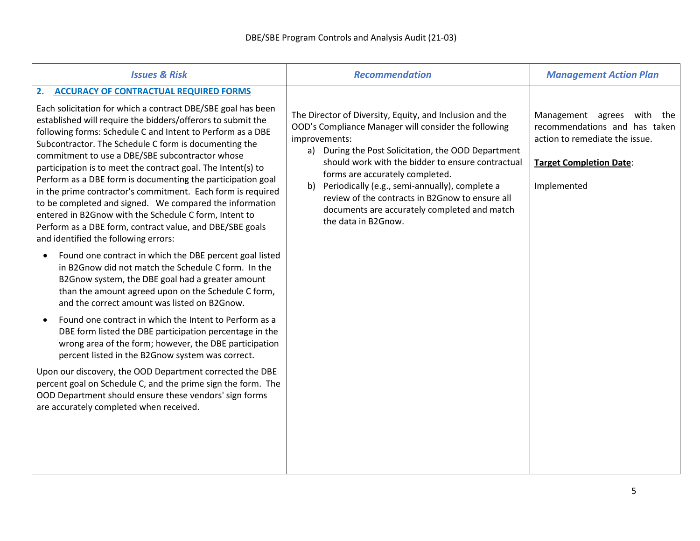| <b>Issues &amp; Risk</b>                                                                                                                                                                                                                                                                                                                                                                                                                                                                                                                                                                                                                                                                                                                                                 | <b>Recommendation</b>                                                                                                                                                                                                                                                                                                                                                                                                                                              | <b>Management Action Plan</b>                                                                                                                        |
|--------------------------------------------------------------------------------------------------------------------------------------------------------------------------------------------------------------------------------------------------------------------------------------------------------------------------------------------------------------------------------------------------------------------------------------------------------------------------------------------------------------------------------------------------------------------------------------------------------------------------------------------------------------------------------------------------------------------------------------------------------------------------|--------------------------------------------------------------------------------------------------------------------------------------------------------------------------------------------------------------------------------------------------------------------------------------------------------------------------------------------------------------------------------------------------------------------------------------------------------------------|------------------------------------------------------------------------------------------------------------------------------------------------------|
| 2. ACCURACY OF CONTRACTUAL REQUIRED FORMS<br>Each solicitation for which a contract DBE/SBE goal has been<br>established will require the bidders/offerors to submit the<br>following forms: Schedule C and Intent to Perform as a DBE<br>Subcontractor. The Schedule C form is documenting the<br>commitment to use a DBE/SBE subcontractor whose<br>participation is to meet the contract goal. The Intent(s) to<br>Perform as a DBE form is documenting the participation goal<br>in the prime contractor's commitment. Each form is required<br>to be completed and signed. We compared the information<br>entered in B2Gnow with the Schedule C form, Intent to<br>Perform as a DBE form, contract value, and DBE/SBE goals<br>and identified the following errors: | The Director of Diversity, Equity, and Inclusion and the<br>OOD's Compliance Manager will consider the following<br>improvements:<br>a) During the Post Solicitation, the OOD Department<br>should work with the bidder to ensure contractual<br>forms are accurately completed.<br>b)<br>Periodically (e.g., semi-annually), complete a<br>review of the contracts in B2Gnow to ensure all<br>documents are accurately completed and match<br>the data in B2Gnow. | Management agrees<br>with<br>the<br>recommendations and has taken<br>action to remediate the issue.<br><b>Target Completion Date:</b><br>Implemented |
| Found one contract in which the DBE percent goal listed<br>in B2Gnow did not match the Schedule C form. In the<br>B2Gnow system, the DBE goal had a greater amount<br>than the amount agreed upon on the Schedule C form,<br>and the correct amount was listed on B2Gnow.<br>Found one contract in which the Intent to Perform as a<br>DBE form listed the DBE participation percentage in the<br>wrong area of the form; however, the DBE participation<br>percent listed in the B2Gnow system was correct.<br>Upon our discovery, the OOD Department corrected the DBE                                                                                                                                                                                                 |                                                                                                                                                                                                                                                                                                                                                                                                                                                                    |                                                                                                                                                      |
| percent goal on Schedule C, and the prime sign the form. The<br>OOD Department should ensure these vendors' sign forms<br>are accurately completed when received.                                                                                                                                                                                                                                                                                                                                                                                                                                                                                                                                                                                                        |                                                                                                                                                                                                                                                                                                                                                                                                                                                                    |                                                                                                                                                      |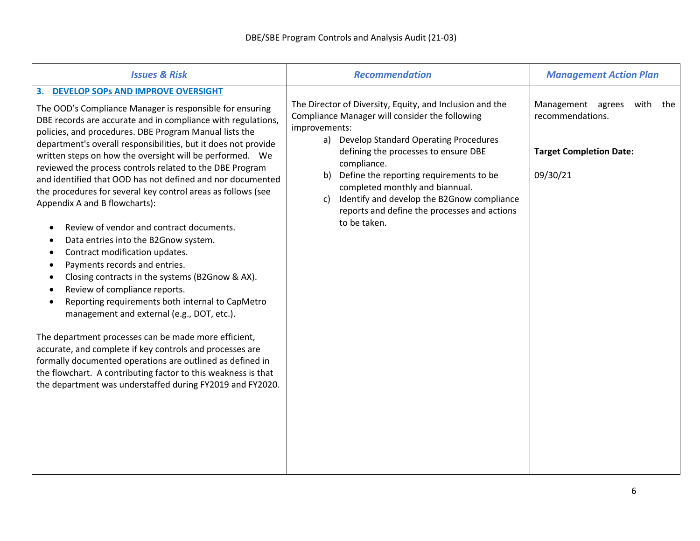| <b>Issues &amp; Risk</b>                                                                                                                                                                                                                                                                                                                                                                                                                                                                                                                                                                                                                                                                                                                                                                                                                                                                                                                                                                                                                                                                                                                                                                                                                         | <b>Recommendation</b>                                                                                                                                                                                                                                                                                                                                                                                                                  | <b>Management Action Plan</b>                                                                   |
|--------------------------------------------------------------------------------------------------------------------------------------------------------------------------------------------------------------------------------------------------------------------------------------------------------------------------------------------------------------------------------------------------------------------------------------------------------------------------------------------------------------------------------------------------------------------------------------------------------------------------------------------------------------------------------------------------------------------------------------------------------------------------------------------------------------------------------------------------------------------------------------------------------------------------------------------------------------------------------------------------------------------------------------------------------------------------------------------------------------------------------------------------------------------------------------------------------------------------------------------------|----------------------------------------------------------------------------------------------------------------------------------------------------------------------------------------------------------------------------------------------------------------------------------------------------------------------------------------------------------------------------------------------------------------------------------------|-------------------------------------------------------------------------------------------------|
| 3. DEVELOP SOPS AND IMPROVE OVERSIGHT<br>The OOD's Compliance Manager is responsible for ensuring<br>DBE records are accurate and in compliance with regulations,<br>policies, and procedures. DBE Program Manual lists the<br>department's overall responsibilities, but it does not provide<br>written steps on how the oversight will be performed. We<br>reviewed the process controls related to the DBE Program<br>and identified that OOD has not defined and nor documented<br>the procedures for several key control areas as follows (see<br>Appendix A and B flowcharts):<br>Review of vendor and contract documents.<br>Data entries into the B2Gnow system.<br>Contract modification updates.<br>Payments records and entries.<br>Closing contracts in the systems (B2Gnow & AX).<br>Review of compliance reports.<br>Reporting requirements both internal to CapMetro<br>management and external (e.g., DOT, etc.).<br>The department processes can be made more efficient,<br>accurate, and complete if key controls and processes are<br>formally documented operations are outlined as defined in<br>the flowchart. A contributing factor to this weakness is that<br>the department was understaffed during FY2019 and FY2020. | The Director of Diversity, Equity, and Inclusion and the<br>Compliance Manager will consider the following<br>improvements:<br>a) Develop Standard Operating Procedures<br>defining the processes to ensure DBE<br>compliance.<br>Define the reporting requirements to be<br>b)<br>completed monthly and biannual.<br>Identify and develop the B2Gnow compliance<br>c)<br>reports and define the processes and actions<br>to be taken. | Management agrees<br>with the<br>recommendations.<br><b>Target Completion Date:</b><br>09/30/21 |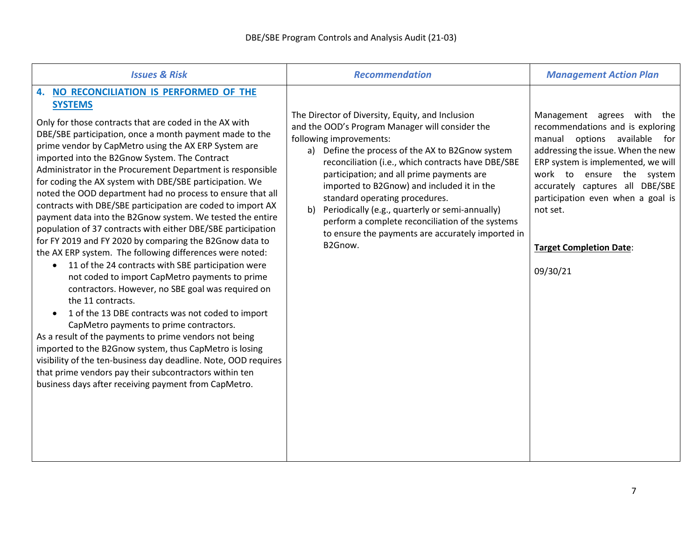| <b>Issues &amp; Risk</b>                                                                                                                                                                                                                                                                                                                                                                                                                                                                                                                                                                                                                                                                                                                                                                                                                                                                                                                                                                                                                                                                                                                                                                                                                                                                                                                                                                                   | <b>Recommendation</b>                                                                                                                                                                                                                                                                                                                                                                                                                                                                                                                              | <b>Management Action Plan</b>                                                                                                                                                                                                                                                                                                                                  |
|------------------------------------------------------------------------------------------------------------------------------------------------------------------------------------------------------------------------------------------------------------------------------------------------------------------------------------------------------------------------------------------------------------------------------------------------------------------------------------------------------------------------------------------------------------------------------------------------------------------------------------------------------------------------------------------------------------------------------------------------------------------------------------------------------------------------------------------------------------------------------------------------------------------------------------------------------------------------------------------------------------------------------------------------------------------------------------------------------------------------------------------------------------------------------------------------------------------------------------------------------------------------------------------------------------------------------------------------------------------------------------------------------------|----------------------------------------------------------------------------------------------------------------------------------------------------------------------------------------------------------------------------------------------------------------------------------------------------------------------------------------------------------------------------------------------------------------------------------------------------------------------------------------------------------------------------------------------------|----------------------------------------------------------------------------------------------------------------------------------------------------------------------------------------------------------------------------------------------------------------------------------------------------------------------------------------------------------------|
| 4. NO RECONCILIATION IS PERFORMED OF THE<br><b>SYSTEMS</b><br>Only for those contracts that are coded in the AX with<br>DBE/SBE participation, once a month payment made to the<br>prime vendor by CapMetro using the AX ERP System are<br>imported into the B2Gnow System. The Contract<br>Administrator in the Procurement Department is responsible<br>for coding the AX system with DBE/SBE participation. We<br>noted the OOD department had no process to ensure that all<br>contracts with DBE/SBE participation are coded to import AX<br>payment data into the B2Gnow system. We tested the entire<br>population of 37 contracts with either DBE/SBE participation<br>for FY 2019 and FY 2020 by comparing the B2Gnow data to<br>the AX ERP system. The following differences were noted:<br>11 of the 24 contracts with SBE participation were<br>$\bullet$<br>not coded to import CapMetro payments to prime<br>contractors. However, no SBE goal was required on<br>the 11 contracts.<br>1 of the 13 DBE contracts was not coded to import<br>CapMetro payments to prime contractors.<br>As a result of the payments to prime vendors not being<br>imported to the B2Gnow system, thus CapMetro is losing<br>visibility of the ten-business day deadline. Note, OOD requires<br>that prime vendors pay their subcontractors within ten<br>business days after receiving payment from CapMetro. | The Director of Diversity, Equity, and Inclusion<br>and the OOD's Program Manager will consider the<br>following improvements:<br>a) Define the process of the AX to B2Gnow system<br>reconciliation (i.e., which contracts have DBE/SBE<br>participation; and all prime payments are<br>imported to B2Gnow) and included it in the<br>standard operating procedures.<br>Periodically (e.g., quarterly or semi-annually)<br>b)<br>perform a complete reconciliation of the systems<br>to ensure the payments are accurately imported in<br>B2Gnow. | Management agrees with the<br>recommendations and is exploring<br>options<br>available<br>manual<br>for <b>f</b><br>addressing the issue. When the new<br>ERP system is implemented, we will<br>work to<br>ensure the system<br>accurately captures all DBE/SBE<br>participation even when a goal is<br>not set.<br><b>Target Completion Date:</b><br>09/30/21 |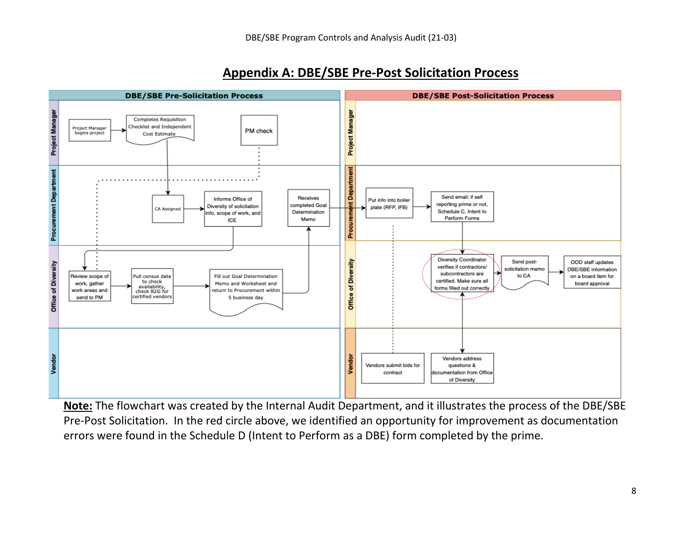

# **Appendix A: DBE/SBE Pre-Post Solicitation Process**

**Note:** The flowchart was created by the Internal Audit Department, and it illustrates the process of the DBE/SBE Pre-Post Solicitation. In the red circle above, we identified an opportunity for improvement as documentation errors were found in the Schedule D (Intent to Perform as a DBE) form completed by the prime.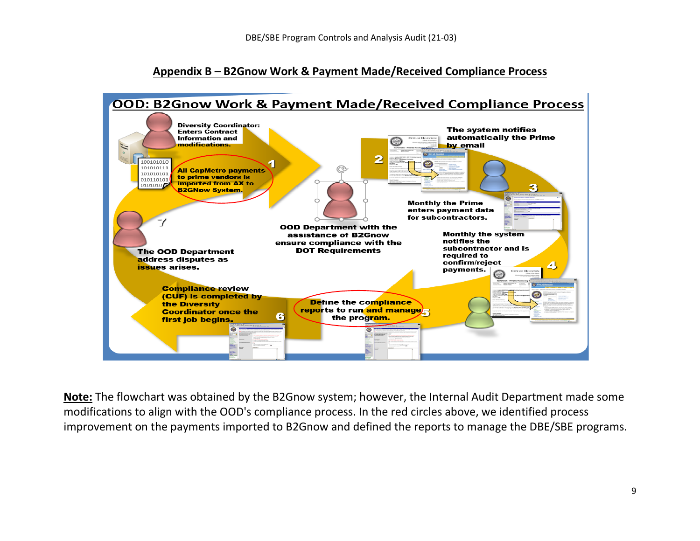## **Appendix B – B2Gnow Work & Payment Made/Received Compliance Process**



**Note:** The flowchart was obtained by the B2Gnow system; however, the Internal Audit Department made some modifications to align with the OOD's compliance process. In the red circles above, we identified process improvement on the payments imported to B2Gnow and defined the reports to manage the DBE/SBE programs.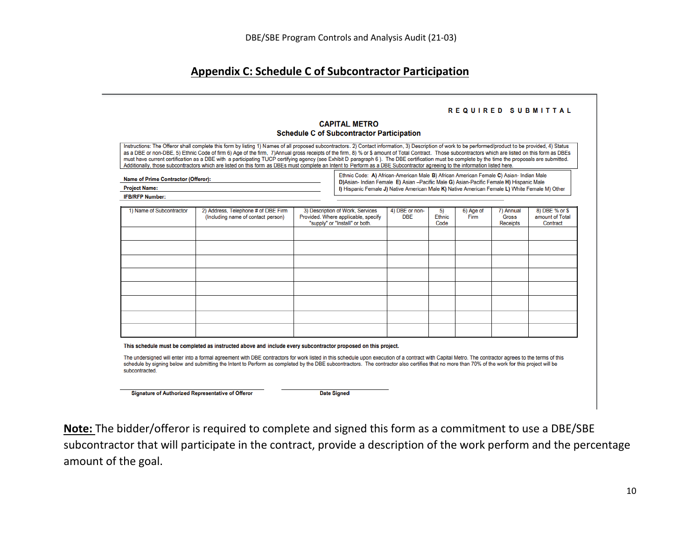## **Appendix C: Schedule C of Subcontractor Participation**

#### REQUIRED SUBMITTAL

#### **CAPITAL METRO Schedule C of Subcontractor Participation**

Instructions: The Offeror shall complete this form by listing 1) Names of all proposed subcontractors. 2) Contact information, 3) Description of work to be performed/product to be provided, 4) Status as a DBE or non-DBE, 5) Ethnic Code of firm 6) Age of the firm, 7)Annual gross receipts of the firm, 8) % or \$ amount of Total Contract. Those subcontractors which are listed on this form as DBEs must have current certification as a DBE with a participating TUCP certifying agency (see Exhibit D paragraph 6). The DBE certification must be complete by the time the proposals are submitted. Additionally, those subcontractors which are listed on this form as DBEs must complete an Intent to Perform as a DBE Subcontractor agreeing to the information listed here.

| <b>Name of Prime Contractor (Offeror):</b> |  |
|--------------------------------------------|--|
|--------------------------------------------|--|

Ethnic Code: A) African-American Male B) African American Female C) Asian- Indian Male D)Asian- Indian Female E) Asian - Pacific Male G) Asian-Pacific Female H) Hispanic Male I) Hispanic Female J) Native American Male K) Native American Female L) White Female M) Other

| ест Na<br>ינו |  |
|---------------|--|
| ∞PFP ><br>    |  |

| 1) Name of Subcontractor | 2) Address, Telephone # of DBE Firm<br>(Including name of contact person) | 3) Description of Work, Services                                      | 4) DBE or non- | 5)     | 6) Age of | 7) Annual    | 8) DBE % or \$  |
|--------------------------|---------------------------------------------------------------------------|-----------------------------------------------------------------------|----------------|--------|-----------|--------------|-----------------|
|                          |                                                                           | Provided. Where applicable, specify<br>"supply" or "Install" or both. | <b>DBE</b>     | Ethnic | Firm      | <b>Gross</b> | amount of Total |
|                          |                                                                           |                                                                       |                | Code   |           | Receipts     | Contract        |
|                          |                                                                           |                                                                       |                |        |           |              |                 |
|                          |                                                                           |                                                                       |                |        |           |              |                 |
|                          |                                                                           |                                                                       |                |        |           |              |                 |
|                          |                                                                           |                                                                       |                |        |           |              |                 |
|                          |                                                                           |                                                                       |                |        |           |              |                 |
|                          |                                                                           |                                                                       |                |        |           |              |                 |
|                          |                                                                           |                                                                       |                |        |           |              |                 |
|                          |                                                                           |                                                                       |                |        |           |              |                 |
|                          |                                                                           |                                                                       |                |        |           |              |                 |
|                          |                                                                           |                                                                       |                |        |           |              |                 |
|                          |                                                                           |                                                                       |                |        |           |              |                 |
|                          |                                                                           |                                                                       |                |        |           |              |                 |
|                          |                                                                           |                                                                       |                |        |           |              |                 |
|                          |                                                                           |                                                                       |                |        |           |              |                 |
|                          |                                                                           |                                                                       |                |        |           |              |                 |

This schedule must be completed as instructed above and include every subcontractor proposed on this project.

The undersigned will enter into a formal agreement with DBE contractors for work listed in this schedule upon execution of a contract with Capital Metro. The contractor agrees to the terms of this schedule by signing below and submitting the Intent to Perform as completed by the DBE subcontractors. The contractor also certifies that no more than 70% of the work for this project will be subcontracted

**Signature of Authorized Representative of Offeror** 

**Date Signed** 

**Note:** The bidder/offeror is required to complete and signed this form as a commitment to use a DBE/SBE subcontractor that will participate in the contract, provide a description of the work perform and the percentage amount of the goal.